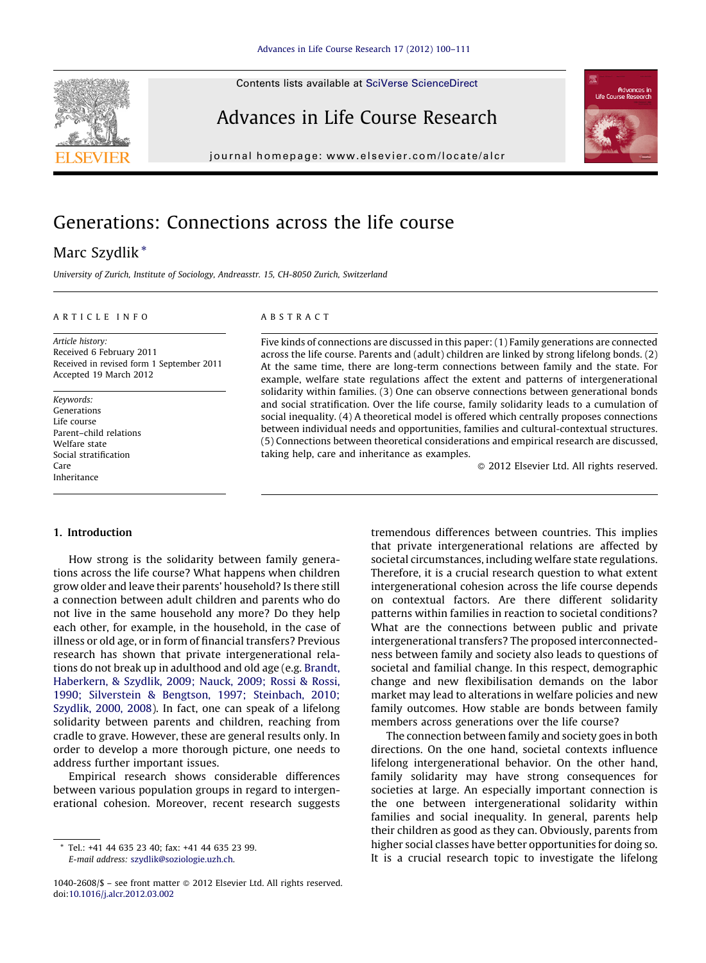Contents lists available at SciVerse [ScienceDirect](http://www.sciencedirect.com/science/journal/10402608)

# Advances in Life Course Research

journal homepage: www.elsevier.com/locate/alcr

## Generations: Connections across the life course

### Marc Szydlik \*

University of Zurich, Institute of Sociology, Andreasstr. 15, CH-8050 Zurich, Switzerland

#### A R T I C L E I N F O

Article history: Received 6 February 2011 Received in revised form 1 September 2011 Accepted 19 March 2012

Keywords: Generations Life course Parent–child relations Welfare state Social stratification Care Inheritance

#### A B S T R A C T

Five kinds of connections are discussed in this paper: (1) Family generations are connected across the life course. Parents and (adult) children are linked by strong lifelong bonds. (2) At the same time, there are long-term connections between family and the state. For example, welfare state regulations affect the extent and patterns of intergenerational solidarity within families. (3) One can observe connections between generational bonds and social stratification. Over the life course, family solidarity leads to a cumulation of social inequality. (4) A theoretical model is offered which centrally proposes connections between individual needs and opportunities, families and cultural-contextual structures. (5) Connections between theoretical considerations and empirical research are discussed, taking help, care and inheritance as examples.

- 2012 Elsevier Ltd. All rights reserved.

#### 1. Introduction

How strong is the solidarity between family generations across the life course? What happens when children grow older and leave their parents' household? Is there still a connection between adult children and parents who do not live in the same household any more? Do they help each other, for example, in the household, in the case of illness or old age, or in form of financial transfers? Previous research has shown that private intergenerational relations do not break up in adulthood and old age (e.g. [Brandt,](#page-10-0) [Haberkern,](#page-10-0) & Szydlik, 2009; Nauck, 2009; Rossi & Rossi, 1990; [Silverstein](#page-10-0) & Bengtson, 1997; Steinbach, 2010; [Szydlik,](#page-10-0) 2000, 2008). In fact, one can speak of a lifelong solidarity between parents and children, reaching from cradle to grave. However, these are general results only. In order to develop a more thorough picture, one needs to address further important issues.

Empirical research shows considerable differences between various population groups in regard to intergenerational cohesion. Moreover, recent research suggests

1040-2608/\$ – see front matter © 2012 Elsevier Ltd. All rights reserved. doi[:10.1016/j.alcr.2012.03.002](http://dx.doi.org/10.1016/j.alcr.2012.03.002)

tremendous differences between countries. This implies that private intergenerational relations are affected by societal circumstances, including welfare state regulations. Therefore, it is a crucial research question to what extent intergenerational cohesion across the life course depends on contextual factors. Are there different solidarity patterns within families in reaction to societal conditions? What are the connections between public and private intergenerational transfers? The proposed interconnectedness between family and society also leads to questions of societal and familial change. In this respect, demographic change and new flexibilisation demands on the labor market may lead to alterations in welfare policies and new family outcomes. How stable are bonds between family members across generations over the life course?

The connection between family and society goes in both directions. On the one hand, societal contexts influence lifelong intergenerational behavior. On the other hand, family solidarity may have strong consequences for societies at large. An especially important connection is the one between intergenerational solidarity within families and social inequality. In general, parents help their children as good as they can. Obviously, parents from higher social classes have better opportunities for doing so. It is a crucial research topic to investigate the lifelong





Tel.: +41 44 635 23 40; fax: +41 44 635 23 99. E-mail address: [szydlik@soziologie.uzh.ch.](mailto:szydlik@soziologie.uzh.ch)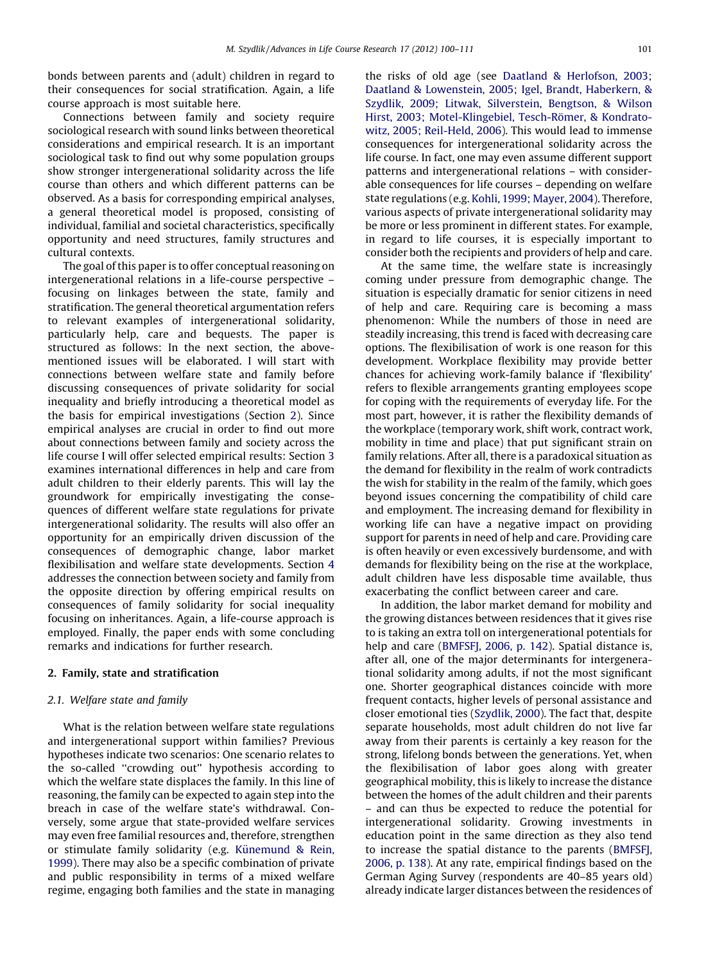bonds between parents and (adult) children in regard to their consequences for social stratification. Again, a life course approach is most suitable here.

Connections between family and society require sociological research with sound links between theoretical considerations and empirical research. It is an important sociological task to find out why some population groups show stronger intergenerational solidarity across the life course than others and which different patterns can be observed. As a basis for corresponding empirical analyses, a general theoretical model is proposed, consisting of individual, familial and societal characteristics, specifically opportunity and need structures, family structures and cultural contexts.

The goal of this paper is to offer conceptual reasoning on intergenerational relations in a life-course perspective – focusing on linkages between the state, family and stratification. The general theoretical argumentation refers to relevant examples of intergenerational solidarity, particularly help, care and bequests. The paper is structured as follows: In the next section, the abovementioned issues will be elaborated. I will start with connections between welfare state and family before discussing consequences of private solidarity for social inequality and briefly introducing a theoretical model as the basis for empirical investigations (Section 2). Since empirical analyses are crucial in order to find out more about connections between family and society across the life course I will offer selected empirical results: Section [3](#page-4-0) examines international differences in help and care from adult children to their elderly parents. This will lay the groundwork for empirically investigating the consequences of different welfare state regulations for private intergenerational solidarity. The results will also offer an opportunity for an empirically driven discussion of the consequences of demographic change, labor market flexibilisation and welfare state developments. Section [4](#page-6-0) addresses the connection between society and family from the opposite direction by offering empirical results on consequences of family solidarity for social inequality focusing on inheritances. Again, a life-course approach is employed. Finally, the paper ends with some concluding remarks and indications for further research.

#### 2. Family, state and stratification

#### 2.1. Welfare state and family

What is the relation between welfare state regulations and intergenerational support within families? Previous hypotheses indicate two scenarios: One scenario relates to the so-called ''crowding out'' hypothesis according to which the welfare state displaces the family. In this line of reasoning, the family can be expected to again step into the breach in case of the welfare state's withdrawal. Conversely, some argue that state-provided welfare services may even free familial resources and, therefore, strengthen or stimulate family solidarity (e.g. Künemund & Rein, [1999](#page-10-0)). There may also be a specific combination of private and public responsibility in terms of a mixed welfare regime, engaging both families and the state in managing the risks of old age (see Daatland & [Herlofson,](#page-10-0) 2003; Daatland & [Lowenstein,](#page-10-0) 2005; Igel, Brandt, Haberkern, & Szydlik, 2009; Litwak, [Silverstein,](#page-10-0) Bengtson, & Wilson Hirst, 2003; [Motel-Klingebiel,](#page-10-0) Tesch-Römer, & Kondratowitz, 2005; [Reil-Held,](#page-10-0) 2006). This would lead to immense consequences for intergenerational solidarity across the life course. In fact, one may even assume different support patterns and intergenerational relations – with considerable consequences for life courses – depending on welfare state regulations (e.g. Kohli, 1999; [Mayer,](#page-10-0) 2004). Therefore, various aspects of private intergenerational solidarity may be more or less prominent in different states. For example, in regard to life courses, it is especially important to consider both the recipients and providers of help and care.

At the same time, the welfare state is increasingly coming under pressure from demographic change. The situation is especially dramatic for senior citizens in need of help and care. Requiring care is becoming a mass phenomenon: While the numbers of those in need are steadily increasing, this trend is faced with decreasing care options. The flexibilisation of work is one reason for this development. Workplace flexibility may provide better chances for achieving work-family balance if 'flexibility' refers to flexible arrangements granting employees scope for coping with the requirements of everyday life. For the most part, however, it is rather the flexibility demands of the workplace (temporary work, shift work, contract work, mobility in time and place) that put significant strain on family relations. After all, there is a paradoxical situation as the demand for flexibility in the realm of work contradicts the wish for stability in the realm of the family, which goes beyond issues concerning the compatibility of child care and employment. The increasing demand for flexibility in working life can have a negative impact on providing support for parents in need of help and care. Providing care is often heavily or even excessively burdensome, and with demands for flexibility being on the rise at the workplace, adult children have less disposable time available, thus exacerbating the conflict between career and care.

In addition, the labor market demand for mobility and the growing distances between residences that it gives rise to is taking an extra toll on intergenerational potentials for help and care [\(BMFSFJ,](#page-10-0) 2006, p. 142). Spatial distance is, after all, one of the major determinants for intergenerational solidarity among adults, if not the most significant one. Shorter geographical distances coincide with more frequent contacts, higher levels of personal assistance and closer emotional ties [\(Szydlik,](#page-10-0) 2000). The fact that, despite separate households, most adult children do not live far away from their parents is certainly a key reason for the strong, lifelong bonds between the generations. Yet, when the flexibilisation of labor goes along with greater geographical mobility, this is likely to increase the distance between the homes of the adult children and their parents – and can thus be expected to reduce the potential for intergenerational solidarity. Growing investments in education point in the same direction as they also tend to increase the spatial distance to the parents [\(BMFSFJ,](#page-10-0) [2006,](#page-10-0) p. 138). At any rate, empirical findings based on the German Aging Survey (respondents are 40–85 years old) already indicate larger distances between the residences of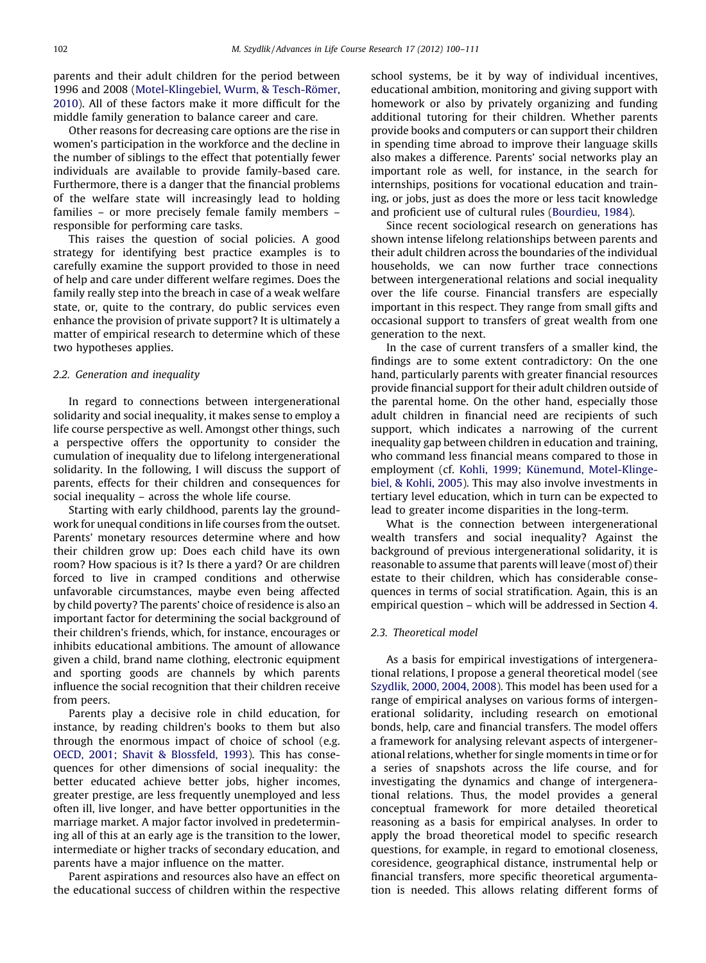parents and their adult children for the period between 1996 and 2008 [\(Motel-Klingebiel,](#page-10-0) Wurm, & Tesch-Römer, [2010](#page-10-0)). All of these factors make it more difficult for the middle family generation to balance career and care.

Other reasons for decreasing care options are the rise in women's participation in the workforce and the decline in the number of siblings to the effect that potentially fewer individuals are available to provide family-based care. Furthermore, there is a danger that the financial problems of the welfare state will increasingly lead to holding families – or more precisely female family members – responsible for performing care tasks.

This raises the question of social policies. A good strategy for identifying best practice examples is to carefully examine the support provided to those in need of help and care under different welfare regimes. Does the family really step into the breach in case of a weak welfare state, or, quite to the contrary, do public services even enhance the provision of private support? It is ultimately a matter of empirical research to determine which of these two hypotheses applies.

#### 2.2. Generation and inequality

In regard to connections between intergenerational solidarity and social inequality, it makes sense to employ a life course perspective as well. Amongst other things, such a perspective offers the opportunity to consider the cumulation of inequality due to lifelong intergenerational solidarity. In the following, I will discuss the support of parents, effects for their children and consequences for social inequality – across the whole life course.

Starting with early childhood, parents lay the groundwork for unequal conditions in life courses from the outset. Parents' monetary resources determine where and how their children grow up: Does each child have its own room? How spacious is it? Is there a yard? Or are children forced to live in cramped conditions and otherwise unfavorable circumstances, maybe even being affected by child poverty? The parents' choice of residence is also an important factor for determining the social background of their children's friends, which, for instance, encourages or inhibits educational ambitions. The amount of allowance given a child, brand name clothing, electronic equipment and sporting goods are channels by which parents influence the social recognition that their children receive from peers.

Parents play a decisive role in child education, for instance, by reading children's books to them but also through the enormous impact of choice of school (e.g. OECD, 2001; Shavit & [Blossfeld,](#page-10-0) 1993). This has consequences for other dimensions of social inequality: the better educated achieve better jobs, higher incomes, greater prestige, are less frequently unemployed and less often ill, live longer, and have better opportunities in the marriage market. A major factor involved in predetermining all of this at an early age is the transition to the lower, intermediate or higher tracks of secondary education, and parents have a major influence on the matter.

Parent aspirations and resources also have an effect on the educational success of children within the respective school systems, be it by way of individual incentives, educational ambition, monitoring and giving support with homework or also by privately organizing and funding additional tutoring for their children. Whether parents provide books and computers or can support their children in spending time abroad to improve their language skills also makes a difference. Parents' social networks play an important role as well, for instance, in the search for internships, positions for vocational education and training, or jobs, just as does the more or less tacit knowledge and proficient use of cultural rules [\(Bourdieu,](#page-10-0) 1984).

Since recent sociological research on generations has shown intense lifelong relationships between parents and their adult children across the boundaries of the individual households, we can now further trace connections between intergenerational relations and social inequality over the life course. Financial transfers are especially important in this respect. They range from small gifts and occasional support to transfers of great wealth from one generation to the next.

In the case of current transfers of a smaller kind, the findings are to some extent contradictory: On the one hand, particularly parents with greater financial resources provide financial support for their adult children outside of the parental home. On the other hand, especially those adult children in financial need are recipients of such support, which indicates a narrowing of the current inequality gap between children in education and training, who command less financial means compared to those in employment (cf. Kohli, 1999; Künemund, [Motel-Klinge](#page-10-0)biel, & [Kohli,](#page-10-0) 2005). This may also involve investments in tertiary level education, which in turn can be expected to lead to greater income disparities in the long-term.

What is the connection between intergenerational wealth transfers and social inequality? Against the background of previous intergenerational solidarity, it is reasonable to assume that parents will leave (most of) their estate to their children, which has considerable consequences in terms of social stratification. Again, this is an empirical question – which will be addressed in Section [4](#page-6-0).

#### 2.3. Theoretical model

As a basis for empirical investigations of intergenerational relations, I propose a general theoretical model (see [Szydlik,](#page-10-0) 2000, 2004, 2008). This model has been used for a range of empirical analyses on various forms of intergenerational solidarity, including research on emotional bonds, help, care and financial transfers. The model offers a framework for analysing relevant aspects of intergenerational relations, whether for single moments in time or for a series of snapshots across the life course, and for investigating the dynamics and change of intergenerational relations. Thus, the model provides a general conceptual framework for more detailed theoretical reasoning as a basis for empirical analyses. In order to apply the broad theoretical model to specific research questions, for example, in regard to emotional closeness, coresidence, geographical distance, instrumental help or financial transfers, more specific theoretical argumentation is needed. This allows relating different forms of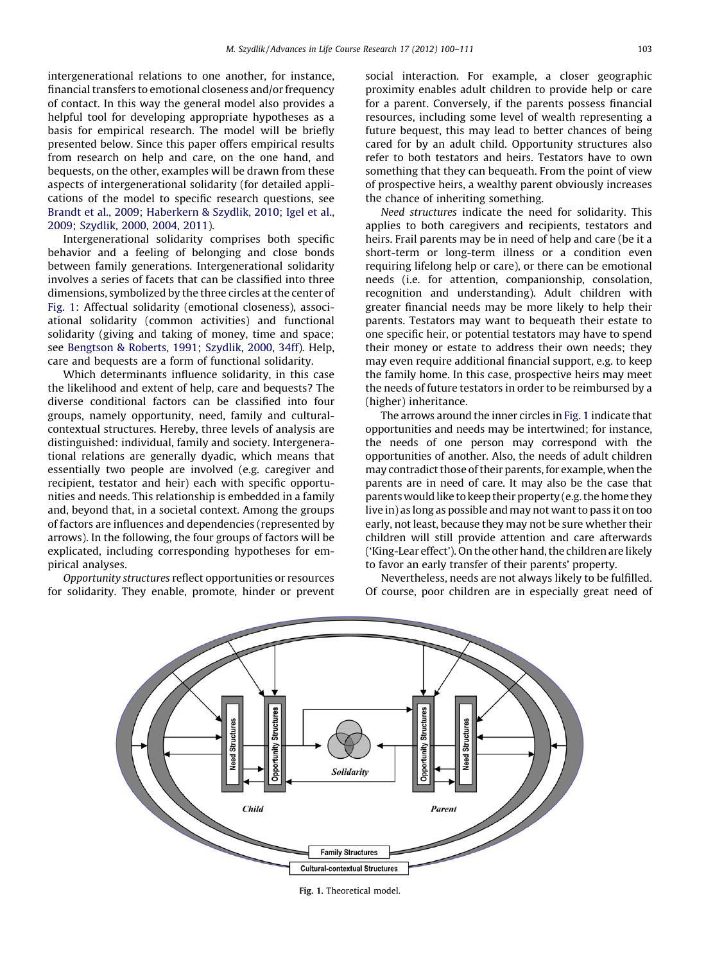<span id="page-3-0"></span>intergenerational relations to one another, for instance, financial transfers to emotional closeness and/or frequency of contact. In this way the general model also provides a helpful tool for developing appropriate hypotheses as a basis for empirical research. The model will be briefly presented below. Since this paper offers empirical results from research on help and care, on the one hand, and bequests, on the other, examples will be drawn from these aspects of intergenerational solidarity (for detailed applications of the model to specific research questions, see Brandt et al., 2009; [Haberkern](#page-10-0) & Szydlik, 2010; Igel et al., 2009; [Szydlik,](#page-10-0) 2000, 2004, 2011).

Intergenerational solidarity comprises both specific behavior and a feeling of belonging and close bonds between family generations. Intergenerational solidarity involves a series of facets that can be classified into three dimensions, symbolized by the three circles at the center of Fig. 1: Affectual solidarity (emotional closeness), associational solidarity (common activities) and functional solidarity (giving and taking of money, time and space; see [Bengtson](#page-10-0) & Roberts, 1991; Szydlik, 2000, 34ff). Help, care and bequests are a form of functional solidarity.

Which determinants influence solidarity, in this case the likelihood and extent of help, care and bequests? The diverse conditional factors can be classified into four groups, namely opportunity, need, family and culturalcontextual structures. Hereby, three levels of analysis are distinguished: individual, family and society. Intergenerational relations are generally dyadic, which means that essentially two people are involved (e.g. caregiver and recipient, testator and heir) each with specific opportunities and needs. This relationship is embedded in a family and, beyond that, in a societal context. Among the groups of factors are influences and dependencies (represented by arrows). In the following, the four groups of factors will be explicated, including corresponding hypotheses for empirical analyses.

Opportunity structures reflect opportunities or resources for solidarity. They enable, promote, hinder or prevent social interaction. For example, a closer geographic proximity enables adult children to provide help or care for a parent. Conversely, if the parents possess financial resources, including some level of wealth representing a future bequest, this may lead to better chances of being cared for by an adult child. Opportunity structures also refer to both testators and heirs. Testators have to own something that they can bequeath. From the point of view of prospective heirs, a wealthy parent obviously increases the chance of inheriting something.

Need structures indicate the need for solidarity. This applies to both caregivers and recipients, testators and heirs. Frail parents may be in need of help and care (be it a short-term or long-term illness or a condition even requiring lifelong help or care), or there can be emotional needs (i.e. for attention, companionship, consolation, recognition and understanding). Adult children with greater financial needs may be more likely to help their parents. Testators may want to bequeath their estate to one specific heir, or potential testators may have to spend their money or estate to address their own needs; they may even require additional financial support, e.g. to keep the family home. In this case, prospective heirs may meet the needs of future testators in order to be reimbursed by a (higher) inheritance.

The arrows around the inner circles in Fig. 1 indicate that opportunities and needs may be intertwined; for instance, the needs of one person may correspond with the opportunities of another. Also, the needs of adult children may contradict those of their parents, for example, when the parents are in need of care. It may also be the case that parents would like to keep their property (e.g. the home they live in) as long as possible and may not want to pass it on too early, not least, because they may not be sure whether their children will still provide attention and care afterwards ('King-Lear effect'). On the other hand, the children are likely to favor an early transfer of their parents' property.

Nevertheless, needs are not always likely to be fulfilled. Of course, poor children are in especially great need of



Fig. 1. Theoretical model.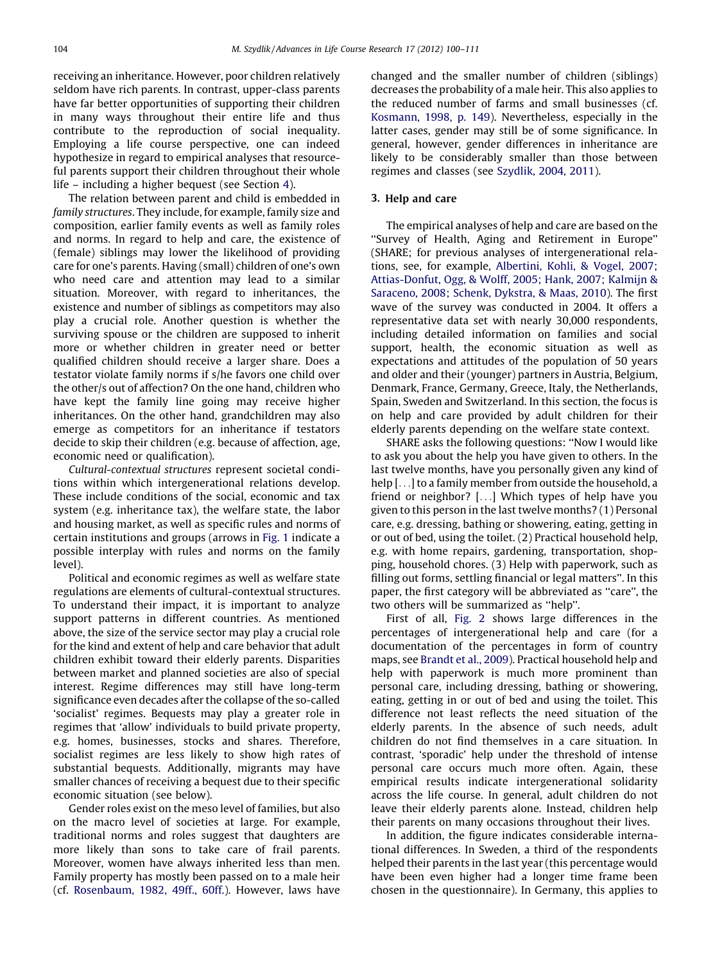<span id="page-4-0"></span>receiving an inheritance. However, poor children relatively seldom have rich parents. In contrast, upper-class parents have far better opportunities of supporting their children in many ways throughout their entire life and thus contribute to the reproduction of social inequality. Employing a life course perspective, one can indeed hypothesize in regard to empirical analyses that resourceful parents support their children throughout their whole life – including a higher bequest (see Section [4](#page-6-0)).

The relation between parent and child is embedded in family structures. They include, for example, family size and composition, earlier family events as well as family roles and norms. In regard to help and care, the existence of (female) siblings may lower the likelihood of providing care for one's parents. Having (small) children of one's own who need care and attention may lead to a similar situation. Moreover, with regard to inheritances, the existence and number of siblings as competitors may also play a crucial role. Another question is whether the surviving spouse or the children are supposed to inherit more or whether children in greater need or better qualified children should receive a larger share. Does a testator violate family norms if s/he favors one child over the other/s out of affection? On the one hand, children who have kept the family line going may receive higher inheritances. On the other hand, grandchildren may also emerge as competitors for an inheritance if testators decide to skip their children (e.g. because of affection, age, economic need or qualification).

Cultural-contextual structures represent societal conditions within which intergenerational relations develop. These include conditions of the social, economic and tax system (e.g. inheritance tax), the welfare state, the labor and housing market, as well as specific rules and norms of certain institutions and groups (arrows in [Fig.](#page-3-0) 1 indicate a possible interplay with rules and norms on the family level).

Political and economic regimes as well as welfare state regulations are elements of cultural-contextual structures. To understand their impact, it is important to analyze support patterns in different countries. As mentioned above, the size of the service sector may play a crucial role for the kind and extent of help and care behavior that adult children exhibit toward their elderly parents. Disparities between market and planned societies are also of special interest. Regime differences may still have long-term significance even decades after the collapse of the so-called 'socialist' regimes. Bequests may play a greater role in regimes that 'allow' individuals to build private property, e.g. homes, businesses, stocks and shares. Therefore, socialist regimes are less likely to show high rates of substantial bequests. Additionally, migrants may have smaller chances of receiving a bequest due to their specific economic situation (see below).

Gender roles exist on the meso level of families, but also on the macro level of societies at large. For example, traditional norms and roles suggest that daughters are more likely than sons to take care of frail parents. Moreover, women have always inherited less than men. Family property has mostly been passed on to a male heir (cf. [Rosenbaum,](#page-10-0) 1982, 49ff., 60ff.). However, laws have

changed and the smaller number of children (siblings) decreases the probability of a male heir. This also applies to the reduced number of farms and small businesses (cf. [Kosmann,](#page-10-0) 1998, p. 149). Nevertheless, especially in the latter cases, gender may still be of some significance. In general, however, gender differences in inheritance are likely to be considerably smaller than those between regimes and classes (see [Szydlik,](#page-10-0) 2004, 2011).

#### 3. Help and care

The empirical analyses of help and care are based on the ''Survey of Health, Aging and Retirement in Europe'' (SHARE; for previous analyses of intergenerational relations, see, for example, [Albertini,](#page-10-0) Kohli, & Vogel, 2007; [Attias-Donfut,](#page-10-0) Ogg, & Wolff, 2005; Hank, 2007; Kalmijn & [Saraceno,](#page-10-0) 2008; Schenk, Dykstra, & Maas, 2010). The first wave of the survey was conducted in 2004. It offers a representative data set with nearly 30,000 respondents, including detailed information on families and social support, health, the economic situation as well as expectations and attitudes of the population of 50 years and older and their (younger) partners in Austria, Belgium, Denmark, France, Germany, Greece, Italy, the Netherlands, Spain, Sweden and Switzerland. In this section, the focus is on help and care provided by adult children for their elderly parents depending on the welfare state context.

SHARE asks the following questions: ''Now I would like to ask you about the help you have given to others. In the last twelve months, have you personally given any kind of help [. . .] to a family member from outside the household, a friend or neighbor? [. . .] Which types of help have you given to this person in the last twelve months? (1) Personal care, e.g. dressing, bathing or showering, eating, getting in or out of bed, using the toilet. (2) Practical household help, e.g. with home repairs, gardening, transportation, shopping, household chores. (3) Help with paperwork, such as filling out forms, settling financial or legal matters''. In this paper, the first category will be abbreviated as ''care'', the two others will be summarized as ''help''.

First of all, [Fig.](#page-5-0) 2 shows large differences in the percentages of intergenerational help and care (for a documentation of the percentages in form of country maps, see [Brandt](#page-10-0) et al., 2009). Practical household help and help with paperwork is much more prominent than personal care, including dressing, bathing or showering, eating, getting in or out of bed and using the toilet. This difference not least reflects the need situation of the elderly parents. In the absence of such needs, adult children do not find themselves in a care situation. In contrast, 'sporadic' help under the threshold of intense personal care occurs much more often. Again, these empirical results indicate intergenerational solidarity across the life course. In general, adult children do not leave their elderly parents alone. Instead, children help their parents on many occasions throughout their lives.

In addition, the figure indicates considerable international differences. In Sweden, a third of the respondents helped their parents in the last year (this percentage would have been even higher had a longer time frame been chosen in the questionnaire). In Germany, this applies to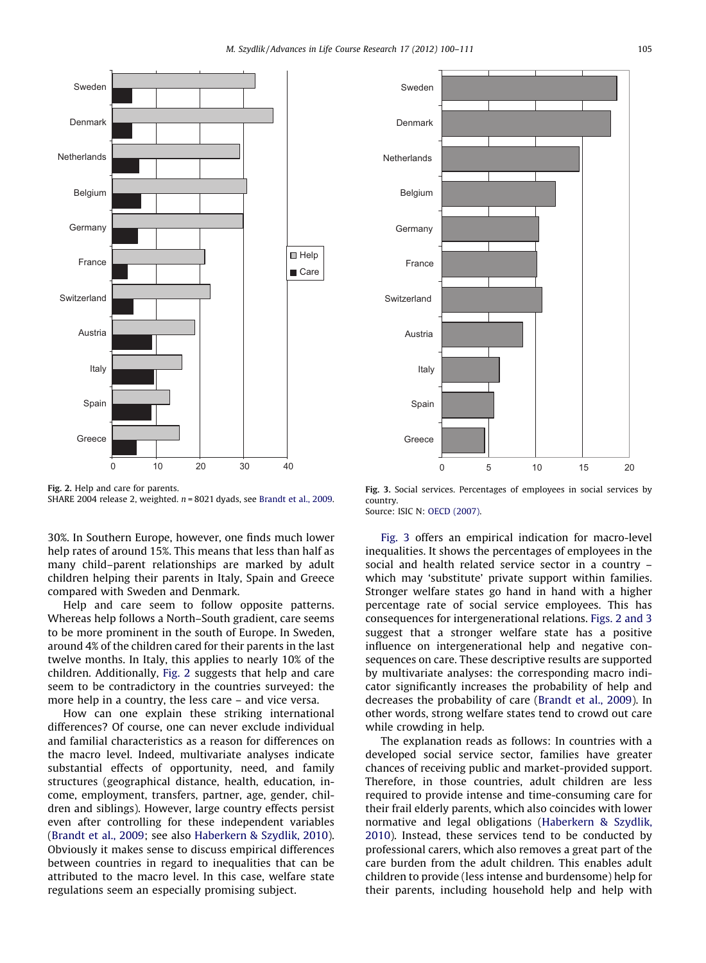<span id="page-5-0"></span>

Fig. 2. Help and care for parents. SHARE 2004 release 2, weighted.  $n = 8021$  dyads, see [Brandt](#page-10-0) et al., 2009.

30%. In Southern Europe, however, one finds much lower help rates of around 15%. This means that less than half as many child–parent relationships are marked by adult children helping their parents in Italy, Spain and Greece compared with Sweden and Denmark.

Help and care seem to follow opposite patterns. Whereas help follows a North–South gradient, care seems to be more prominent in the south of Europe. In Sweden, around 4% of the children cared for their parents in the last twelve months. In Italy, this applies to nearly 10% of the children. Additionally, Fig. 2 suggests that help and care seem to be contradictory in the countries surveyed: the more help in a country, the less care – and vice versa.

How can one explain these striking international differences? Of course, one can never exclude individual and familial characteristics as a reason for differences on the macro level. Indeed, multivariate analyses indicate substantial effects of opportunity, need, and family structures (geographical distance, health, education, income, employment, transfers, partner, age, gender, children and siblings). However, large country effects persist even after controlling for these independent variables ([Brandt](#page-10-0) et al., 2009; see also [Haberkern](#page-10-0) & Szydlik, 2010). Obviously it makes sense to discuss empirical differences between countries in regard to inequalities that can be attributed to the macro level. In this case, welfare state regulations seem an especially promising subject.



Fig. 3. Social services. Percentages of employees in social services by country. Source: ISIC N: OECD [\(2007\).](#page-10-0)

Fig. 3 offers an empirical indication for macro-level inequalities. It shows the percentages of employees in the social and health related service sector in a country – which may 'substitute' private support within families. Stronger welfare states go hand in hand with a higher percentage rate of social service employees. This has consequences for intergenerational relations. Figs. 2 and 3 suggest that a stronger welfare state has a positive influence on intergenerational help and negative consequences on care. These descriptive results are supported by multivariate analyses: the corresponding macro indicator significantly increases the probability of help and decreases the probability of care [\(Brandt](#page-10-0) et al., 2009). In other words, strong welfare states tend to crowd out care while crowding in help.

The explanation reads as follows: In countries with a developed social service sector, families have greater chances of receiving public and market-provided support. Therefore, in those countries, adult children are less required to provide intense and time-consuming care for their frail elderly parents, which also coincides with lower normative and legal obligations [\(Haberkern](#page-10-0) & Szydlik, [2010](#page-10-0)). Instead, these services tend to be conducted by professional carers, which also removes a great part of the care burden from the adult children. This enables adult children to provide (less intense and burdensome) help for their parents, including household help and help with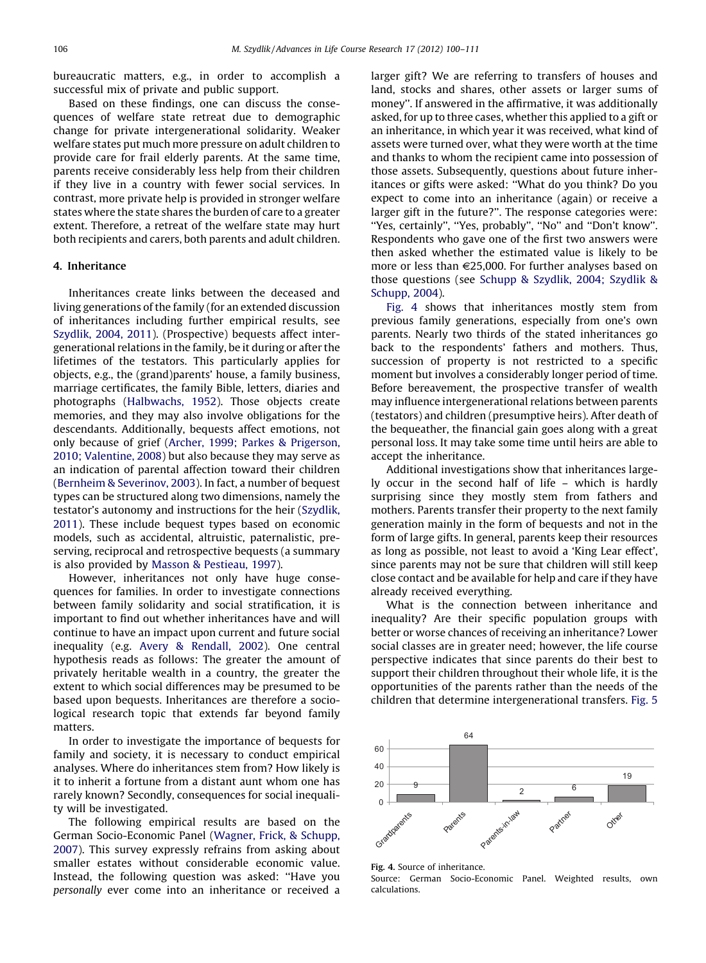<span id="page-6-0"></span>bureaucratic matters, e.g., in order to accomplish a successful mix of private and public support.

Based on these findings, one can discuss the consequences of welfare state retreat due to demographic change for private intergenerational solidarity. Weaker welfare states put much more pressure on adult children to provide care for frail elderly parents. At the same time, parents receive considerably less help from their children if they live in a country with fewer social services. In contrast, more private help is provided in stronger welfare states where the state shares the burden of care to a greater extent. Therefore, a retreat of the welfare state may hurt both recipients and carers, both parents and adult children.

#### 4. Inheritance

Inheritances create links between the deceased and living generations of the family (for an extended discussion of inheritances including further empirical results, see [Szydlik,](#page-10-0) 2004, 2011). (Prospective) bequests affect intergenerational relations in the family, be it during or after the lifetimes of the testators. This particularly applies for objects, e.g., the (grand)parents' house, a family business, marriage certificates, the family Bible, letters, diaries and photographs [\(Halbwachs,](#page-10-0) 1952). Those objects create memories, and they may also involve obligations for the descendants. Additionally, bequests affect emotions, not only because of grief (Archer, 1999; Parkes & [Prigerson,](#page-10-0) 2010; [Valentine,](#page-10-0) 2008) but also because they may serve as an indication of parental affection toward their children (Bernheim & [Severinov,](#page-10-0) 2003). In fact, a number of bequest types can be structured along two dimensions, namely the testator's autonomy and instructions for the heir ([Szydlik,](#page-10-0) [2011](#page-10-0)). These include bequest types based on economic models, such as accidental, altruistic, paternalistic, preserving, reciprocal and retrospective bequests (a summary is also provided by Masson & [Pestieau,](#page-10-0) 1997).

However, inheritances not only have huge consequences for families. In order to investigate connections between family solidarity and social stratification, it is important to find out whether inheritances have and will continue to have an impact upon current and future social inequality (e.g. Avery & [Rendall,](#page-10-0) 2002). One central hypothesis reads as follows: The greater the amount of privately heritable wealth in a country, the greater the extent to which social differences may be presumed to be based upon bequests. Inheritances are therefore a sociological research topic that extends far beyond family matters.

In order to investigate the importance of bequests for family and society, it is necessary to conduct empirical analyses. Where do inheritances stem from? How likely is it to inherit a fortune from a distant aunt whom one has rarely known? Secondly, consequences for social inequality will be investigated.

The following empirical results are based on the German Socio-Economic Panel [\(Wagner,](#page-10-0) Frick, & Schupp, [2007](#page-10-0)). This survey expressly refrains from asking about smaller estates without considerable economic value. Instead, the following question was asked: ''Have you personally ever come into an inheritance or received a larger gift? We are referring to transfers of houses and land, stocks and shares, other assets or larger sums of money''. If answered in the affirmative, it was additionally asked, for up to three cases, whether this applied to a gift or an inheritance, in which year it was received, what kind of assets were turned over, what they were worth at the time and thanks to whom the recipient came into possession of those assets. Subsequently, questions about future inheritances or gifts were asked: ''What do you think? Do you expect to come into an inheritance (again) or receive a larger gift in the future?''. The response categories were: ''Yes, certainly'', ''Yes, probably'', ''No'' and ''Don't know''. Respondents who gave one of the first two answers were then asked whether the estimated value is likely to be more or less than  $\in$ 25,000. For further analyses based on those questions (see Schupp & [Szydlik,](#page-10-0) 2004; Szydlik & [Schupp,](#page-10-0) 2004).

Fig. 4 shows that inheritances mostly stem from previous family generations, especially from one's own parents. Nearly two thirds of the stated inheritances go back to the respondents' fathers and mothers. Thus, succession of property is not restricted to a specific moment but involves a considerably longer period of time. Before bereavement, the prospective transfer of wealth may influence intergenerational relations between parents (testators) and children (presumptive heirs). After death of the bequeather, the financial gain goes along with a great personal loss. It may take some time until heirs are able to accept the inheritance.

Additional investigations show that inheritances largely occur in the second half of life – which is hardly surprising since they mostly stem from fathers and mothers. Parents transfer their property to the next family generation mainly in the form of bequests and not in the form of large gifts. In general, parents keep their resources as long as possible, not least to avoid a 'King Lear effect', since parents may not be sure that children will still keep close contact and be available for help and care if they have already received everything.

What is the connection between inheritance and inequality? Are their specific population groups with better or worse chances of receiving an inheritance? Lower social classes are in greater need; however, the life course perspective indicates that since parents do their best to support their children throughout their whole life, it is the opportunities of the parents rather than the needs of the children that determine intergenerational transfers. [Fig.](#page-7-0) 5



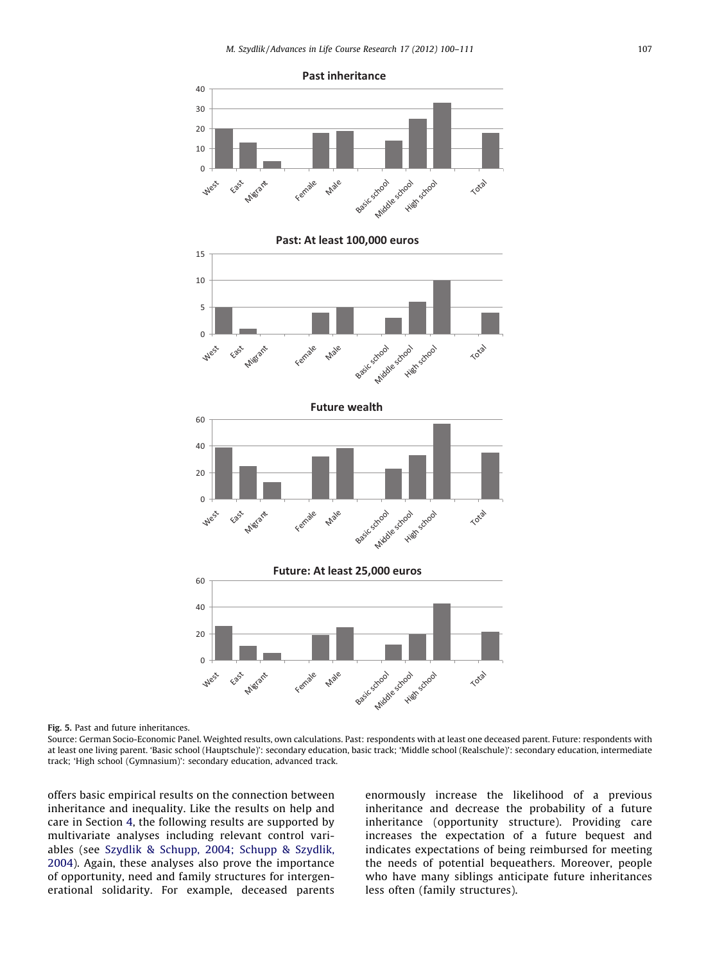<span id="page-7-0"></span>

Fig. 5. Past and future inheritances.

Source: German Socio-Economic Panel. Weighted results, own calculations. Past: respondents with at least one deceased parent. Future: respondents with at least one living parent. 'Basic school (Hauptschule)': secondary education, basic track; 'Middle school (Realschule)': secondary education, intermediate track; 'High school (Gymnasium)': secondary education, advanced track.

offers basic empirical results on the connection between inheritance and inequality. Like the results on help and care in Section [4](#page-6-0), the following results are supported by multivariate analyses including relevant control variables (see Szydlik & [Schupp,](#page-10-0) 2004; Schupp & Szydlik, [2004](#page-10-0)). Again, these analyses also prove the importance of opportunity, need and family structures for intergenerational solidarity. For example, deceased parents enormously increase the likelihood of a previous inheritance and decrease the probability of a future inheritance (opportunity structure). Providing care increases the expectation of a future bequest and indicates expectations of being reimbursed for meeting the needs of potential bequeathers. Moreover, people who have many siblings anticipate future inheritances less often (family structures).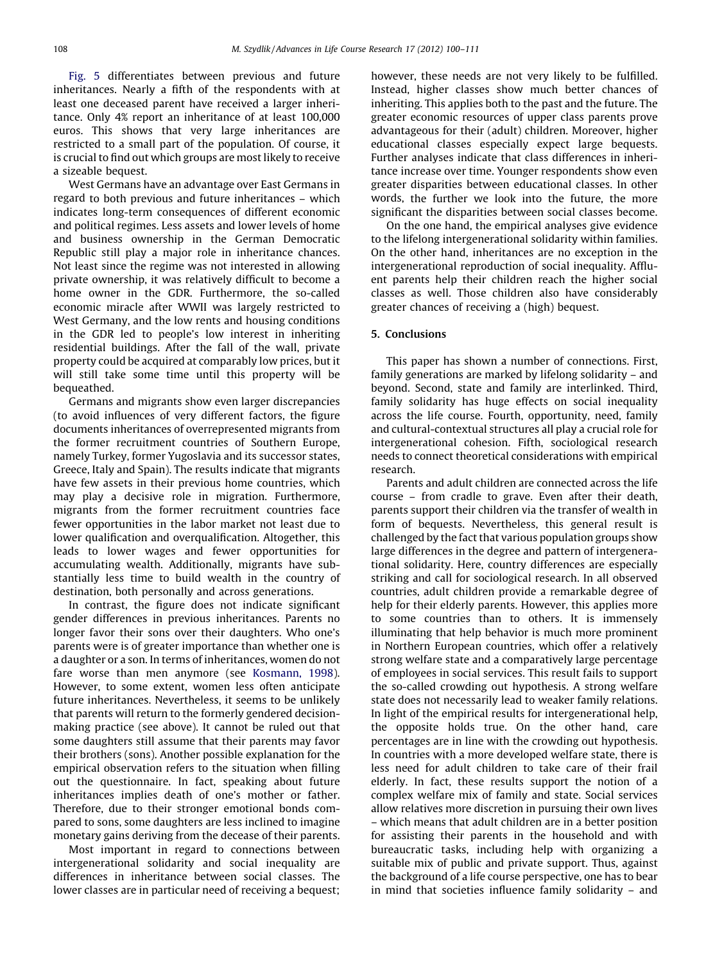[Fig.](#page-7-0) 5 differentiates between previous and future inheritances. Nearly a fifth of the respondents with at least one deceased parent have received a larger inheritance. Only 4% report an inheritance of at least 100,000 euros. This shows that very large inheritances are restricted to a small part of the population. Of course, it is crucial to find out which groups are most likely to receive a sizeable bequest.

West Germans have an advantage over East Germans in regard to both previous and future inheritances – which indicates long-term consequences of different economic and political regimes. Less assets and lower levels of home and business ownership in the German Democratic Republic still play a major role in inheritance chances. Not least since the regime was not interested in allowing private ownership, it was relatively difficult to become a home owner in the GDR. Furthermore, the so-called economic miracle after WWII was largely restricted to West Germany, and the low rents and housing conditions in the GDR led to people's low interest in inheriting residential buildings. After the fall of the wall, private property could be acquired at comparably low prices, but it will still take some time until this property will be bequeathed.

Germans and migrants show even larger discrepancies (to avoid influences of very different factors, the figure documents inheritances of overrepresented migrants from the former recruitment countries of Southern Europe, namely Turkey, former Yugoslavia and its successor states, Greece, Italy and Spain). The results indicate that migrants have few assets in their previous home countries, which may play a decisive role in migration. Furthermore, migrants from the former recruitment countries face fewer opportunities in the labor market not least due to lower qualification and overqualification. Altogether, this leads to lower wages and fewer opportunities for accumulating wealth. Additionally, migrants have substantially less time to build wealth in the country of destination, both personally and across generations.

In contrast, the figure does not indicate significant gender differences in previous inheritances. Parents no longer favor their sons over their daughters. Who one's parents were is of greater importance than whether one is a daughter or a son. In terms of inheritances, women do not fare worse than men anymore (see [Kosmann,](#page-10-0) 1998). However, to some extent, women less often anticipate future inheritances. Nevertheless, it seems to be unlikely that parents will return to the formerly gendered decisionmaking practice (see above). It cannot be ruled out that some daughters still assume that their parents may favor their brothers (sons). Another possible explanation for the empirical observation refers to the situation when filling out the questionnaire. In fact, speaking about future inheritances implies death of one's mother or father. Therefore, due to their stronger emotional bonds compared to sons, some daughters are less inclined to imagine monetary gains deriving from the decease of their parents.

Most important in regard to connections between intergenerational solidarity and social inequality are differences in inheritance between social classes. The lower classes are in particular need of receiving a bequest; however, these needs are not very likely to be fulfilled. Instead, higher classes show much better chances of inheriting. This applies both to the past and the future. The greater economic resources of upper class parents prove advantageous for their (adult) children. Moreover, higher educational classes especially expect large bequests. Further analyses indicate that class differences in inheritance increase over time. Younger respondents show even greater disparities between educational classes. In other words, the further we look into the future, the more significant the disparities between social classes become.

On the one hand, the empirical analyses give evidence to the lifelong intergenerational solidarity within families. On the other hand, inheritances are no exception in the intergenerational reproduction of social inequality. Affluent parents help their children reach the higher social classes as well. Those children also have considerably greater chances of receiving a (high) bequest.

#### 5. Conclusions

This paper has shown a number of connections. First, family generations are marked by lifelong solidarity – and beyond. Second, state and family are interlinked. Third, family solidarity has huge effects on social inequality across the life course. Fourth, opportunity, need, family and cultural-contextual structures all play a crucial role for intergenerational cohesion. Fifth, sociological research needs to connect theoretical considerations with empirical research.

Parents and adult children are connected across the life course – from cradle to grave. Even after their death, parents support their children via the transfer of wealth in form of bequests. Nevertheless, this general result is challenged by the fact that various population groups show large differences in the degree and pattern of intergenerational solidarity. Here, country differences are especially striking and call for sociological research. In all observed countries, adult children provide a remarkable degree of help for their elderly parents. However, this applies more to some countries than to others. It is immensely illuminating that help behavior is much more prominent in Northern European countries, which offer a relatively strong welfare state and a comparatively large percentage of employees in social services. This result fails to support the so-called crowding out hypothesis. A strong welfare state does not necessarily lead to weaker family relations. In light of the empirical results for intergenerational help, the opposite holds true. On the other hand, care percentages are in line with the crowding out hypothesis. In countries with a more developed welfare state, there is less need for adult children to take care of their frail elderly. In fact, these results support the notion of a complex welfare mix of family and state. Social services allow relatives more discretion in pursuing their own lives – which means that adult children are in a better position for assisting their parents in the household and with bureaucratic tasks, including help with organizing a suitable mix of public and private support. Thus, against the background of a life course perspective, one has to bear in mind that societies influence family solidarity – and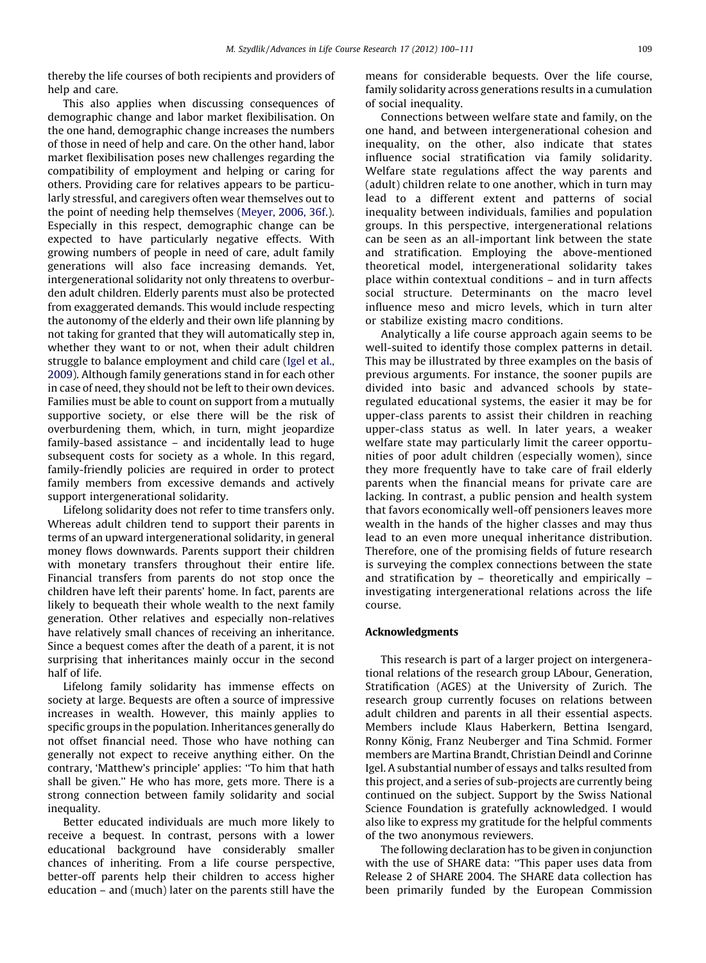thereby the life courses of both recipients and providers of help and care.

This also applies when discussing consequences of demographic change and labor market flexibilisation. On the one hand, demographic change increases the numbers of those in need of help and care. On the other hand, labor market flexibilisation poses new challenges regarding the compatibility of employment and helping or caring for others. Providing care for relatives appears to be particularly stressful, and caregivers often wear themselves out to the point of needing help themselves [\(Meyer,](#page-10-0) 2006, 36f.). Especially in this respect, demographic change can be expected to have particularly negative effects. With growing numbers of people in need of care, adult family generations will also face increasing demands. Yet, intergenerational solidarity not only threatens to overburden adult children. Elderly parents must also be protected from exaggerated demands. This would include respecting the autonomy of the elderly and their own life planning by not taking for granted that they will automatically step in, whether they want to or not, when their adult children struggle to balance employment and child care [\(Igel](#page-10-0) et al., [2009](#page-10-0)). Although family generations stand in for each other in case of need, they should not be left to their own devices. Families must be able to count on support from a mutually supportive society, or else there will be the risk of overburdening them, which, in turn, might jeopardize family-based assistance – and incidentally lead to huge subsequent costs for society as a whole. In this regard, family-friendly policies are required in order to protect family members from excessive demands and actively support intergenerational solidarity.

Lifelong solidarity does not refer to time transfers only. Whereas adult children tend to support their parents in terms of an upward intergenerational solidarity, in general money flows downwards. Parents support their children with monetary transfers throughout their entire life. Financial transfers from parents do not stop once the children have left their parents' home. In fact, parents are likely to bequeath their whole wealth to the next family generation. Other relatives and especially non-relatives have relatively small chances of receiving an inheritance. Since a bequest comes after the death of a parent, it is not surprising that inheritances mainly occur in the second half of life.

Lifelong family solidarity has immense effects on society at large. Bequests are often a source of impressive increases in wealth. However, this mainly applies to specific groups in the population. Inheritances generally do not offset financial need. Those who have nothing can generally not expect to receive anything either. On the contrary, 'Matthew's principle' applies: ''To him that hath shall be given.'' He who has more, gets more. There is a strong connection between family solidarity and social inequality.

Better educated individuals are much more likely to receive a bequest. In contrast, persons with a lower educational background have considerably smaller chances of inheriting. From a life course perspective, better-off parents help their children to access higher education – and (much) later on the parents still have the

means for considerable bequests. Over the life course, family solidarity across generations results in a cumulation of social inequality.

Connections between welfare state and family, on the one hand, and between intergenerational cohesion and inequality, on the other, also indicate that states influence social stratification via family solidarity. Welfare state regulations affect the way parents and (adult) children relate to one another, which in turn may lead to a different extent and patterns of social inequality between individuals, families and population groups. In this perspective, intergenerational relations can be seen as an all-important link between the state and stratification. Employing the above-mentioned theoretical model, intergenerational solidarity takes place within contextual conditions – and in turn affects social structure. Determinants on the macro level influence meso and micro levels, which in turn alter or stabilize existing macro conditions.

Analytically a life course approach again seems to be well-suited to identify those complex patterns in detail. This may be illustrated by three examples on the basis of previous arguments. For instance, the sooner pupils are divided into basic and advanced schools by stateregulated educational systems, the easier it may be for upper-class parents to assist their children in reaching upper-class status as well. In later years, a weaker welfare state may particularly limit the career opportunities of poor adult children (especially women), since they more frequently have to take care of frail elderly parents when the financial means for private care are lacking. In contrast, a public pension and health system that favors economically well-off pensioners leaves more wealth in the hands of the higher classes and may thus lead to an even more unequal inheritance distribution. Therefore, one of the promising fields of future research is surveying the complex connections between the state and stratification by – theoretically and empirically – investigating intergenerational relations across the life course.

#### Acknowledgments

This research is part of a larger project on intergenerational relations of the research group LAbour, Generation, Stratification (AGES) at the University of Zurich. The research group currently focuses on relations between adult children and parents in all their essential aspects. Members include Klaus Haberkern, Bettina Isengard, Ronny König, Franz Neuberger and Tina Schmid. Former members are Martina Brandt, Christian Deindl and Corinne Igel. A substantial number of essays and talks resulted from this project, and a series of sub-projects are currently being continued on the subject. Support by the Swiss National Science Foundation is gratefully acknowledged. I would also like to express my gratitude for the helpful comments of the two anonymous reviewers.

The following declaration has to be given in conjunction with the use of SHARE data: ''This paper uses data from Release 2 of SHARE 2004. The SHARE data collection has been primarily funded by the European Commission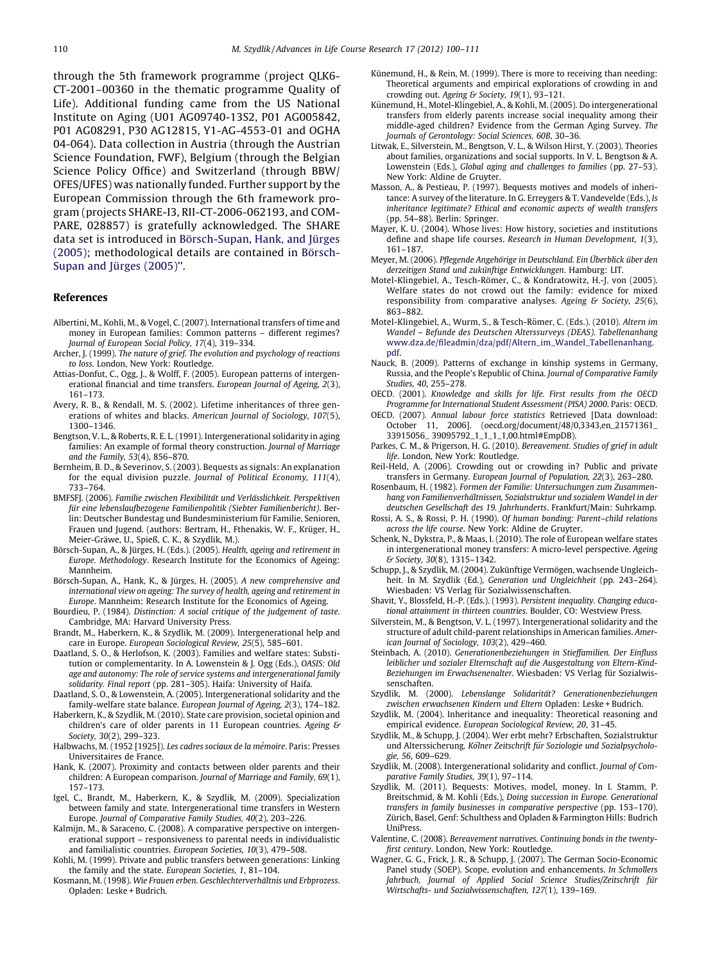<span id="page-10-0"></span>through the 5th framework programme (project QLK6- CT-2001–00360 in the thematic programme Quality of Life). Additional funding came from the US National Institute on Aging (U01 AG09740-13S2, P01 AG005842, P01 AG08291, P30 AG12815, Y1-AG-4553-01 and OGHA 04-064). Data collection in Austria (through the Austrian Science Foundation, FWF), Belgium (through the Belgian Science Policy Office) and Switzerland (through BBW/ OFES/UFES) was nationally funded. Further support by the European Commission through the 6th framework program (projects SHARE-I3, RII-CT-2006-062193, and COM-PARE, 028857) is gratefully acknowledged. The SHARE data set is introduced in Börsch-Supan, Hank, and Jürges  $(2005)$ ; methodological details are contained in Börsch-Supan and Jürges (2005)".

#### References

- Albertini, M., Kohli, M., & Vogel, C. (2007). International transfers of time and money in European families: Common patterns – different regimes? Journal of European Social Policy, 17(4), 319–334.
- Archer, J. (1999). The nature of grief. The evolution and psychology of reactions to loss. London, New York: Routledge.
- Attias-Donfut, C., Ogg, J., & Wolff, F. (2005). European patterns of intergenerational financial and time transfers. European Journal of Ageing, 2(3), 161–173.
- Avery, R. B., & Rendall, M. S. (2002). Lifetime inheritances of three generations of whites and blacks. American Journal of Sociology, 107(5), 1300–1346.
- Bengtson, V. L., & Roberts, R. E. L. (1991). Intergenerational solidarity in aging families: An example of formal theory construction. Journal of Marriage and the Family, 53(4), 856–870.
- Bernheim, B. D., & Severinov, S. (2003). Bequests as signals: An explanation for the equal division puzzle. Journal of Political Economy, 111(4), 733–764.
- BMFSFI. (2006). Familie zwischen Flexibilität und Verlässlichkeit. Perspektiven für eine lebenslaufbezogene Familienpolitik (Siebter Familienbericht). Berlin: Deutscher Bundestag und Bundesministerium für Familie, Senioren, Frauen und Jugend. (authors: Bertram, H., Fthenakis, W. F., Krüger, H., Meier-Gräwe, U., Spieß, C. K., & Szydlik, M.).
- Börsch-Supan, A., & Jürges, H. (Eds.). (2005). Health, ageing and retirement in Europe. Methodology. Research Institute for the Economics of Ageing: Mannheim.
- Börsch-Supan, A., Hank, K., & Jürges, H. (2005). A new comprehensive and international view on ageing: The survey of health, ageing and retirement in Europe. Mannheim: Research Institute for the Economics of Ageing.
- Bourdieu, P. (1984). Distinction: A social critique of the judgement of taste. Cambridge, MA: Harvard University Press.
- Brandt, M., Haberkern, K., & Szydlik, M. (2009). Intergenerational help and care in Europe. European Sociological Review, 25(5), 585–601.
- Daatland, S. O., & Herlofson, K. (2003). Families and welfare states: Substitution or complementarity. In A. Lowenstein & J. Ogg (Eds.), OASIS: Old age and autonomy: The role of service systems and intergenerational family solidarity. Final report (pp. 281–305). Haifa: University of Haifa.
- Daatland, S. O., & Lowenstein, A. (2005). Intergenerational solidarity and the family-welfare state balance. European Journal of Ageing, 2(3), 174–182.
- Haberkern, K., & Szydlik, M. (2010). State care provision, societal opinion and children's care of older parents in 11 European countries. Ageing & Society, 30(2), 299–323.
- Halbwachs, M. (1952 [1925]). Les cadres sociaux de la mémoire. Paris: Presses Universitaires de France.
- Hank, K. (2007). Proximity and contacts between older parents and their children: A European comparison. Journal of Marriage and Family, 69(1), 157–173.
- Igel, C., Brandt, M., Haberkern, K., & Szydlik, M. (2009). Specialization between family and state. Intergenerational time transfers in Western Europe. Journal of Comparative Family Studies, 40(2), 203–226.
- Kalmijn, M., & Saraceno, C. (2008). A comparative perspective on intergenerational support – responsiveness to parental needs in individualistic and familialistic countries. European Societies, 10(3), 479–508.
- Kohli, M. (1999). Private and public transfers between generations: Linking the family and the state. European Societies, 1, 81–104.
- Kosmann, M. (1998). Wie Frauen erben. Geschlechterverhältnis und Erbprozess. Opladen: Leske + Budrich.
- Künemund, H., & Rein, M. (1999). There is more to receiving than needing: Theoretical arguments and empirical explorations of crowding in and crowding out. Ageing & Society, 19(1), 93-121.
- Künemund, H., Motel-Klingebiel, A., & Kohli, M. (2005). Do intergenerational transfers from elderly parents increase social inequality among their middle-aged children? Evidence from the German Aging Survey. The Journals of Gerontology: Social Sciences, 60B, 30–36.
- Litwak, E., Silverstein, M., Bengtson, V. L., & Wilson Hirst, Y. (2003). Theories about families, organizations and social supports. In V. L. Bengtson & A. Lowenstein (Eds.), Global aging and challenges to families (pp. 27–53). New York: Aldine de Gruyter.
- Masson, A., & Pestieau, P. (1997). Bequests motives and models of inheritance: A survey of the literature. In G. Erreygers & T. Vandevelde (Eds.), Is inheritance legitimate? Ethical and economic aspects of wealth transfers (pp. 54–88). Berlin: Springer.
- Mayer, K. U. (2004). Whose lives: How history, societies and institutions define and shape life courses. Research in Human Development, 1(3), 161–187.
- Meyer, M. (2006). Pflegende Angehörige in Deutschland. Ein Überblick über den derzeitigen Stand und zukünftige Entwicklungen. Hamburg: LIT.
- Motel-Klingebiel, A., Tesch-Römer, C., & Kondratowitz, H.-J. von (2005). Welfare states do not crowd out the family: evidence for mixed responsibility from comparative analyses. Ageing  $&$  Society, 25(6), 863–882.
- Motel-Klingebiel, A., Wurm, S., & Tesch-Römer, C. (Eds.). (2010). Altern im Wandel – Befunde des Deutschen Alterssurveys (DEAS). Tabellenanhang [www.dza.de/fileadmin/dza/pdf/Altern\\_im\\_Wandel\\_Tabellenanhang.](http://www.dza.de/fileadmin/dza/pdf/Altern_im_Wandel_Tabellenanhang.pdf) [pdf](http://www.dza.de/fileadmin/dza/pdf/Altern_im_Wandel_Tabellenanhang.pdf).
- Nauck, B. (2009). Patterns of exchange in kinship systems in Germany, Russia, and the People's Republic of China. Journal of Comparative Family Studies, 40, 255–278.
- OECD. (2001). Knowledge and skills for life. First results from the OECD Programme for International Student Assessment (PISA) 2000. Paris: OECD.
- OECD. (2007). Annual labour force statistics Retrieved [Data download: October 11, 2006]. (oecd.org/document/48/0,3343,en\_21571361\_ 33915056\_ 39095792\_1\_1\_1\_1,00.html#EmpDB).
- Parkes, C. M., & Prigerson, H. G. (2010). Bereavement. Studies of grief in adult life. London, New York: Routledge.
- Reil-Held, A. (2006). Crowding out or crowding in? Public and private transfers in Germany. European Journal of Population, 22(3), 263–280.
- Rosenbaum, H. (1982). Formen der Familie: Untersuchungen zum Zusammenhang von Familienverhältnissen, Sozialstruktur und sozialem Wandel in der deutschen Gesellschaft des 19. Jahrhunderts. Frankfurt/Main: Suhrkamp.
- Rossi, A. S., & Rossi, P. H. (1990). Of human bonding: Parent–child relations across the life course. New York: Aldine de Gruyter.
- Schenk, N., Dykstra, P., & Maas, I. (2010). The role of European welfare states in intergenerational money transfers: A micro-level perspective. Ageing & Society, 30(8), 1315–1342.
- Schupp, J., & Szydlik, M. (2004). Zukünftige Vermögen, wachsende Ungleichheit. In M. Szydlik (Ed.), Generation und Ungleichheit (pp. 243–264). Wiesbaden: VS Verlag für Sozialwissenschaften.
- Shavit, Y., Blossfeld, H.-P. (Eds.). (1993). Persistent inequality. Changing educational attainment in thirteen countries. Boulder, CO: Westview Press.
- Silverstein, M., & Bengtson, V. L. (1997). Intergenerational solidarity and the structure of adult child-parent relationships in American families. American Journal of Sociology, 103(2), 429–460.
- Steinbach, A. (2010). Generationenbeziehungen in Stieffamilien. Der Einfluss leiblicher und sozialer Elternschaft auf die Ausgestaltung von Eltern-Kind-Beziehungen im Erwachsenenalter. Wiesbaden: VS Verlag für Sozialwissenschaften.
- Szydlik, M. (2000). Lebenslange Solidarität? Generationenbeziehungen zwischen erwachsenen Kindern und Eltern Opladen: Leske + Budrich.
- Szydlik, M. (2004). Inheritance and inequality: Theoretical reasoning and empirical evidence. European Sociological Review, 20, 31–45.
- Szydlik, M., & Schupp, J. (2004). Wer erbt mehr? Erbschaften, Sozialstruktur und Alterssicherung. Kölner Zeitschrift für Soziologie und Sozialpsychologie, 56, 609–629.
- Szydlik, M. (2008). Intergenerational solidarity and conflict. Journal of Comparative Family Studies, 39(1), 97–114.
- Szydlik, M. (2011). Bequests: Motives, model, money. In I. Stamm, P. Breitschmid, & M. Kohli (Eds.), Doing succession in Europe. Generational transfers in family businesses in comparative perspective (pp. 153–170). Zürich, Basel, Genf: Schulthess and Opladen & Farmington Hills: Budrich UniPress.
- Valentine, C. (2008). Bereavement narratives. Continuing bonds in the twentyfirst century. London, New York: Routledge.
- Wagner, G. G., Frick, J. R., & Schupp, J. (2007). The German Socio-Economic Panel study (SOEP). Scope, evolution and enhancements. In Schmollers Jahrbuch, Journal of Applied Social Science Studies/Zeitschrift für Wirtschafts- und Sozialwissenschaften, 127(1), 139–169.